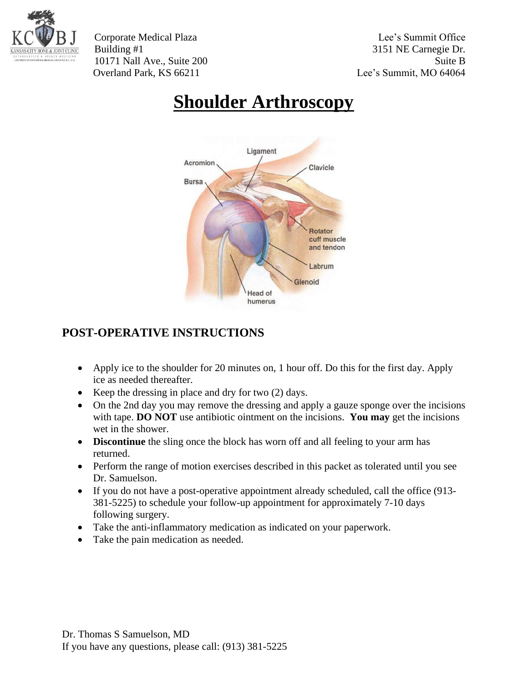

Corporate Medical Plaza Lee's Summit Office Building #1 3151 NE Carnegie Dr. 10171 Nall Ave., Suite 200 Suite B Overland Park, KS 66211 Lee's Summit, MO 64064

# **Shoulder Arthroscopy**



## **POST-OPERATIVE INSTRUCTIONS**

- Apply ice to the shoulder for 20 minutes on, 1 hour off. Do this for the first day. Apply ice as needed thereafter.
- Keep the dressing in place and dry for two (2) days.
- On the 2nd day you may remove the dressing and apply a gauze sponge over the incisions with tape. **DO NOT** use antibiotic ointment on the incisions. **You may** get the incisions wet in the shower.
- **Discontinue** the sling once the block has worn off and all feeling to your arm has returned.
- Perform the range of motion exercises described in this packet as tolerated until you see Dr. Samuelson.
- If you do not have a post-operative appointment already scheduled, call the office (913-381-5225) to schedule your follow-up appointment for approximately 7-10 days following surgery.
- Take the anti-inflammatory medication as indicated on your paperwork.
- Take the pain medication as needed.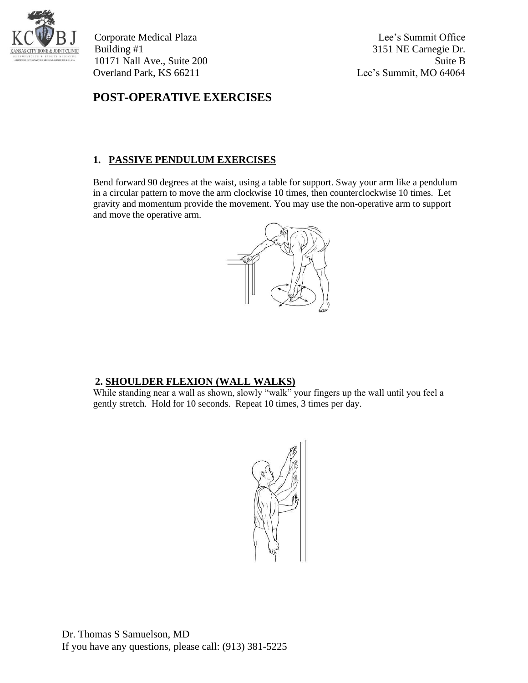

Corporate Medical Plaza Lee's Summit Office Building #1 3151 NE Carnegie Dr. 10171 Nall Ave., Suite 200 Suite B Overland Park, KS 66211 Lee's Summit, MO 64064

### **POST-OPERATIVE EXERCISES**

#### **1. PASSIVE PENDULUM EXERCISES**

Bend forward 90 degrees at the waist, using a table for support. Sway your arm like a pendulum in a circular pattern to move the arm clockwise 10 times, then counterclockwise 10 times. Let gravity and momentum provide the movement. You may use the non-operative arm to support and move the operative arm.



#### **2. SHOULDER FLEXION (WALL WALKS)**

While standing near a wall as shown, slowly "walk" your fingers up the wall until you feel a gently stretch. Hold for 10 seconds. Repeat 10 times, 3 times per day.